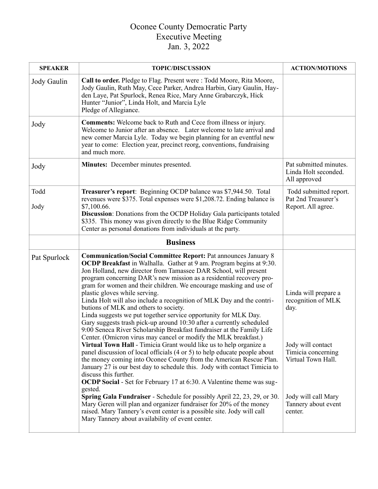## Oconee County Democratic Party Executive Meeting Jan. 3, 2022

| <b>SPEAKER</b> | <b>TOPIC/DISCUSSION</b>                                                                                                                                                                                                                                                                                                                                                                                                                                                                                                                                                                                                                                                                                                                                                                                                                                                                                                                                                                                                                                                                                                                                                                                                                                                                                                                                                                                                                                                                                          | <b>ACTION/MOTIONS</b>                                                                                                                                                        |
|----------------|------------------------------------------------------------------------------------------------------------------------------------------------------------------------------------------------------------------------------------------------------------------------------------------------------------------------------------------------------------------------------------------------------------------------------------------------------------------------------------------------------------------------------------------------------------------------------------------------------------------------------------------------------------------------------------------------------------------------------------------------------------------------------------------------------------------------------------------------------------------------------------------------------------------------------------------------------------------------------------------------------------------------------------------------------------------------------------------------------------------------------------------------------------------------------------------------------------------------------------------------------------------------------------------------------------------------------------------------------------------------------------------------------------------------------------------------------------------------------------------------------------------|------------------------------------------------------------------------------------------------------------------------------------------------------------------------------|
| Jody Gaulin    | Call to order. Pledge to Flag. Present were: Todd Moore, Rita Moore,<br>Jody Gaulin, Ruth May, Cece Parker, Andrea Harbin, Gary Gaulin, Hay-<br>den Laye, Pat Spurlock, Renea Rice, Mary Anne Grabarczyk, Hick<br>Hunter "Junior", Linda Holt, and Marcia Lyle<br>Pledge of Allegiance.                                                                                                                                                                                                                                                                                                                                                                                                                                                                                                                                                                                                                                                                                                                                                                                                                                                                                                                                                                                                                                                                                                                                                                                                                          |                                                                                                                                                                              |
| Jody           | <b>Comments:</b> Welcome back to Ruth and Cece from illness or injury.<br>Welcome to Junior after an absence. Later welcome to late arrival and<br>new comer Marcia Lyle. Today we begin planning for an eventful new<br>year to come: Election year, precinct reorg, conventions, fundraising<br>and much more.                                                                                                                                                                                                                                                                                                                                                                                                                                                                                                                                                                                                                                                                                                                                                                                                                                                                                                                                                                                                                                                                                                                                                                                                 |                                                                                                                                                                              |
| Jody           | Minutes: December minutes presented.                                                                                                                                                                                                                                                                                                                                                                                                                                                                                                                                                                                                                                                                                                                                                                                                                                                                                                                                                                                                                                                                                                                                                                                                                                                                                                                                                                                                                                                                             | Pat submitted minutes.<br>Linda Holt seconded.<br>All approved                                                                                                               |
| Todd<br>Jody   | Treasurer's report: Beginning OCDP balance was \$7,944.50. Total<br>revenues were \$375. Total expenses were \$1,208.72. Ending balance is<br>\$7,100.66.<br><b>Discussion:</b> Donations from the OCDP Holiday Gala participants totaled<br>\$335. This money was given directly to the Blue Ridge Community<br>Center as personal donations from individuals at the party.                                                                                                                                                                                                                                                                                                                                                                                                                                                                                                                                                                                                                                                                                                                                                                                                                                                                                                                                                                                                                                                                                                                                     | Todd submitted report.<br>Pat 2nd Treasurer's<br>Report. All agree.                                                                                                          |
|                | <b>Business</b>                                                                                                                                                                                                                                                                                                                                                                                                                                                                                                                                                                                                                                                                                                                                                                                                                                                                                                                                                                                                                                                                                                                                                                                                                                                                                                                                                                                                                                                                                                  |                                                                                                                                                                              |
| Pat Spurlock   | <b>Communication/Social Committee Report: Pat announces January 8</b><br>OCDP Breakfast in Walhalla. Gather at 9 am. Program begins at 9:30.<br>Jon Holland, new director from Tamassee DAR School, will present<br>program concerning DAR's new mission as a residential recovery pro-<br>gram for women and their children. We encourage masking and use of<br>plastic gloves while serving.<br>Linda Holt will also include a recognition of MLK Day and the contri-<br>butions of MLK and others to society.<br>Linda suggests we put together service opportunity for MLK Day.<br>Gary suggests trash pick-up around 10:30 after a currently scheduled<br>9:00 Seneca River Scholarship Breakfast fundraiser at the Family Life<br>Center. (Omicron virus may cancel or modify the MLK breakfast.)<br>Virtual Town Hall - Timicia Grant would like us to help organize a<br>panel discussion of local officials (4 or 5) to help educate people about<br>the money coming into Oconee County from the American Rescue Plan.<br>January 27 is our best day to schedule this. Jody with contact Timicia to<br>discuss this further.<br><b>OCDP Social</b> - Set for February 17 at 6:30. A Valentine theme was sug-<br>gested.<br>Spring Gala Fundraiser - Schedule for possibly April 22, 23, 29, or 30.<br>Mary Geren will plan and organizer fundraiser for 20% of the money<br>raised. Mary Tannery's event center is a possible site. Jody will call<br>Mary Tannery about availability of event center. | Linda will prepare a<br>recognition of MLK<br>day.<br>Jody will contact<br>Timicia concerning<br>Virtual Town Hall.<br>Jody will call Mary<br>Tannery about event<br>center. |